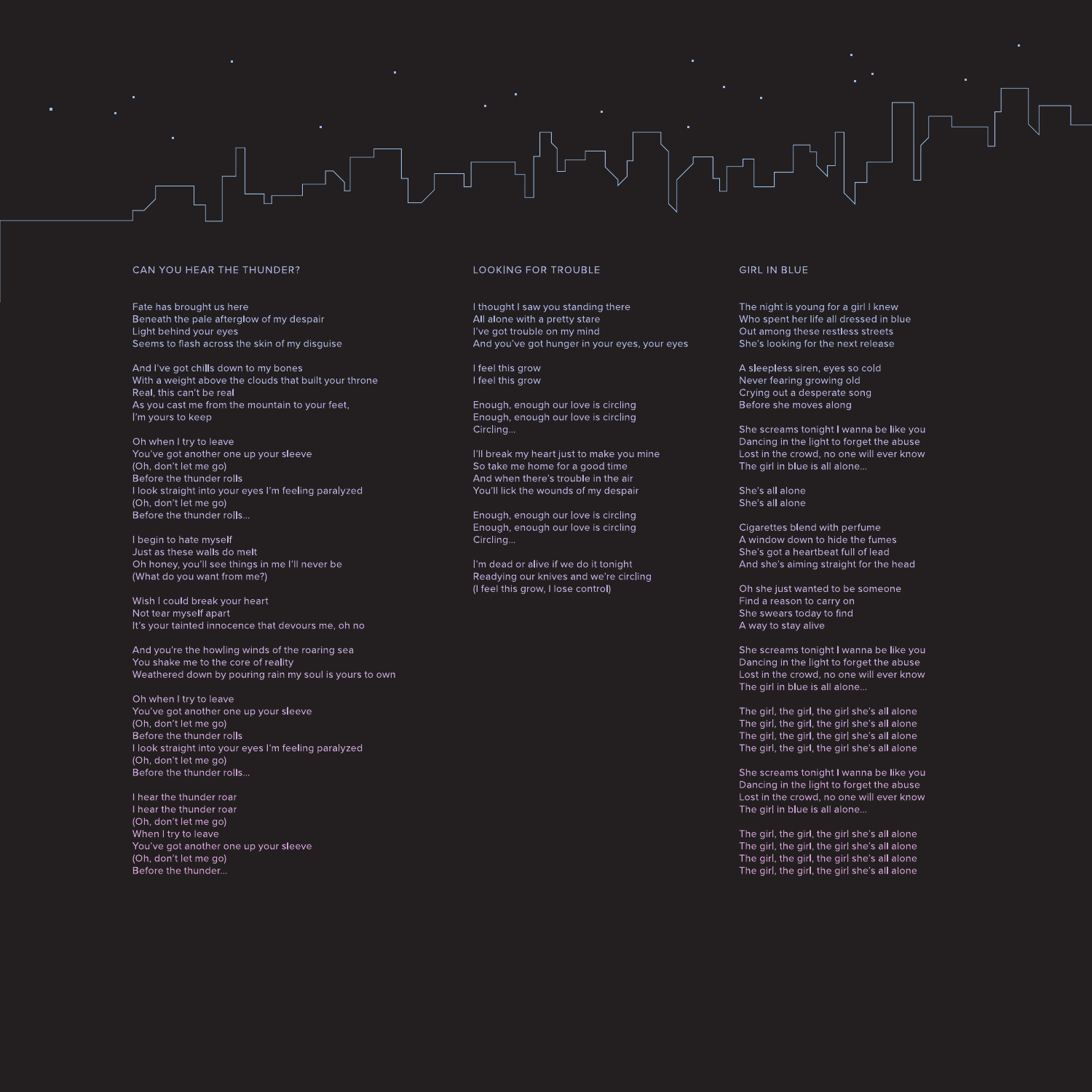

#### CAN YOU HEAR THE THUNDER?

Fate has brought us here Beneath the pale afterglow of my despair Light behind your eyes Seems to flash across the skin of my disguise

And I've got chills down to my bones With a weight above the clouds that built your throne Real, this can't be real As you cast me from the mountain to your feet, I'm yours to keep

Oh when I try to leave You've got another one up your sleeve (Oh, don't let me go) Before the thunder rolls I look straight into your eyes I'm feeling paralyzed (Oh, don't let me go) Before the thunder rolls…

I begin to hate myself Just as these walls do melt Oh honey, you'll see things in me I'll never be (What do you want from me?)

Wish I could break your heart Not tear myself apart It's your tainted innocence that devours me, oh no

And you're the howling winds of the roaring sea You shake me to the core of reality Weathered down by pouring rain my soul is yours to own

Oh when I try to leave You've got another one up your sleeve (Oh, don't let me go) Before the thunder rolls I look straight into your eyes I'm feeling paralyzed (Oh, don't let me go) Before the thunder rolls…

I hear the thunder roar I hear the thunder roar (Oh, don't let me go) When I try to leave You've got another one up your sleeve (Oh, don't let me go) Before the thunder...

# LOOKING FOR TROUBLE

I thought I saw you standing there All alone with a pretty stare I've got trouble on my mind And you've got hunger in your eyes, your eyes

I feel this grow I feel this grow

Enough, enough our love is circling Enough, enough our love is circling Circling…

I'll break my heart just to make you mine So take me home for a good time And when there's trouble in the air You'll lick the wounds of my despair

Enough, enough our love is circling Enough, enough our love is circling Circling…

I'm dead or alive if we do it tonight Readying our knives and we're circling (I feel this grow, I lose control)

### GIRL IN BLUE

The night is young for a girl I knew Who spent her life all dressed in blue Out among these restless streets She's looking for the next release

A sleepless siren, eyes so cold Never fearing growing old Crying out a desperate song Before she moves along

She screams tonight I wanna be like you Dancing in the light to forget the abuse Lost in the crowd, no one will ever know The girl in blue is all alone…

She's all alone She's all alone

Cigarettes blend with perfume A window down to hide the fumes She's got a heartbeat full of lead And she's aiming straight for the head

Oh she just wanted to be someone Find a reason to carry on She swears today to find A way to stay alive

She screams tonight I wanna be like you Dancing in the light to forget the abuse Lost in the crowd, no one will ever know The girl in blue is all alone…

The girl, the girl, the girl she's all alone The girl, the girl, the girl she's all alone The girl, the girl, the girl she's all alone The girl, the girl, the girl she's all alone

She screams tonight I wanna be like you Dancing in the light to forget the abuse Lost in the crowd, no one will ever know The girl in blue is all alone…

The girl, the girl, the girl she's all alone The girl, the girl, the girl she's all alone The girl, the girl, the girl she's all alone The girl, the girl, the girl she's all alone